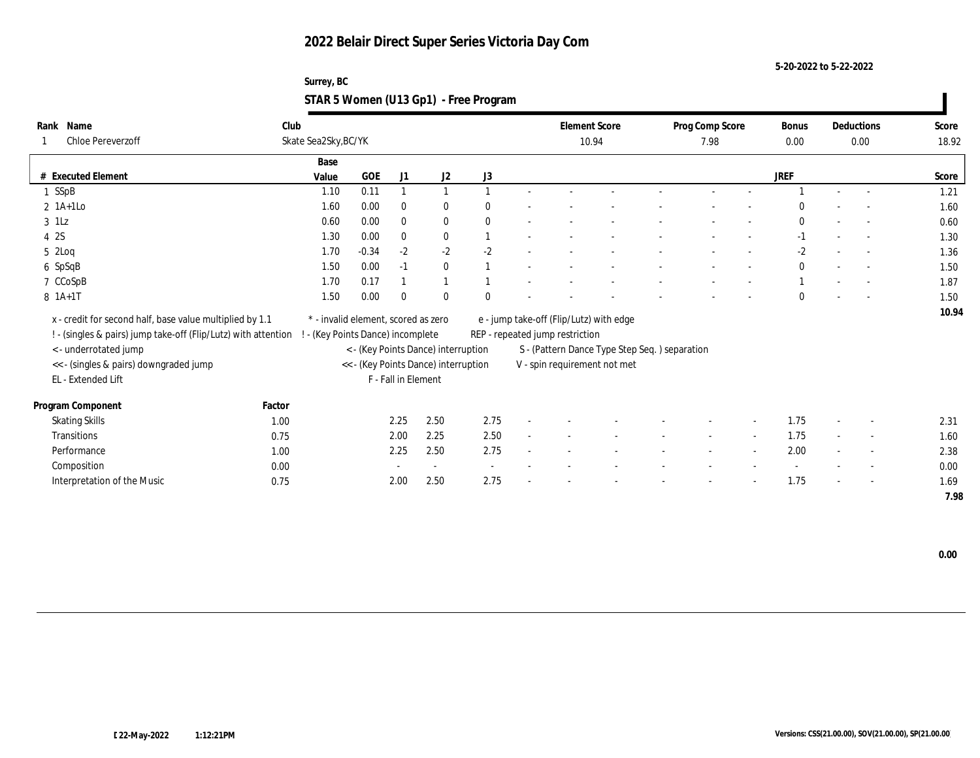**5-20-2022 to 5-22-2022**

### **Surrey, BC STAR 5 Women (U13 Gp1) - Free Program**

| Rank Name                                                      | Club   |                                     |            |                     |                                      |                          |        |                                 | <b>Element Score</b>                          | Prog Comp Score |                          | <b>Bonus</b> |        | Deductions               | Score |
|----------------------------------------------------------------|--------|-------------------------------------|------------|---------------------|--------------------------------------|--------------------------|--------|---------------------------------|-----------------------------------------------|-----------------|--------------------------|--------------|--------|--------------------------|-------|
| <b>Chloe Pereverzoff</b>                                       |        | Skate Sea2Sky, BC/YK                |            |                     |                                      |                          |        |                                 | 10.94                                         | 7.98            |                          | 0.00         |        | 0.00                     | 18.92 |
|                                                                |        | Base                                |            |                     |                                      |                          |        |                                 |                                               |                 |                          |              |        |                          |       |
| # Executed Element                                             |        | Value                               | <b>GOE</b> | J1                  | J2                                   | J3                       |        |                                 |                                               |                 |                          | <b>JREF</b>  |        |                          | Score |
| 1 SSpB                                                         |        | 1.10                                | 0.11       |                     | $\mathbf{1}$                         |                          |        |                                 |                                               |                 |                          |              |        | $\overline{a}$           | 1.21  |
| $2 \text{ 1A+1Lo}$                                             |        | 1.60                                | 0.00       | $\bf{0}$            | $\bf{0}$                             | $\Omega$                 |        |                                 |                                               |                 |                          | $\Omega$     |        |                          | 1.60  |
| $3$ 1Lz                                                        |        | 0.60                                | 0.00       | $\mathbf{0}$        | $\bf{0}$                             | $\mathbf{0}$             |        |                                 |                                               |                 |                          | $\mathbf{0}$ |        | $\overline{\phantom{a}}$ | 0.60  |
| 4 2S                                                           |        | 1.30                                | 0.00       | $\bf{0}$            | $\bf{0}$                             |                          |        |                                 |                                               |                 |                          | $-1$         |        | $\sim$                   | 1.30  |
| $5$ 2Loq                                                       |        | 1.70                                | $-0.34$    | $-2$                | $-2$                                 | $-2$                     |        |                                 |                                               |                 |                          | $-2$         |        | $\overline{\phantom{a}}$ | 1.36  |
| 6 SpSqB                                                        |        | 1.50                                | 0.00       | $-1$                | $\bf{0}$                             |                          |        |                                 |                                               |                 |                          | $\theta$     |        |                          | 1.50  |
| 7 CCoSpB                                                       |        | 1.70                                | 0.17       |                     | $\mathbf{1}$                         |                          |        |                                 |                                               |                 |                          |              |        |                          | 1.87  |
| 8 1A+1T                                                        |        | 1.50                                | 0.00       | $\bf{0}$            | $\theta$                             | $\Omega$                 |        |                                 |                                               |                 |                          | $\Omega$     |        | $\overline{\phantom{a}}$ | 1.50  |
| x - credit for second half, base value multiplied by 1.1       |        | * - invalid element, scored as zero |            |                     |                                      |                          |        |                                 | e - jump take-off (Flip/Lutz) with edge       |                 |                          |              |        |                          | 10.94 |
| ! - (singles & pairs) jump take-off (Flip/Lutz) with attention |        | - (Key Points Dance) incomplete     |            |                     |                                      |                          |        | REP - repeated jump restriction |                                               |                 |                          |              |        |                          |       |
| < - underrotated jump                                          |        |                                     |            |                     | < - (Key Points Dance) interruption  |                          |        |                                 | S - (Pattern Dance Type Step Seq.) separation |                 |                          |              |        |                          |       |
| << - (singles & pairs) downgraded jump                         |        |                                     |            |                     | << - (Key Points Dance) interruption |                          |        |                                 | V - spin requirement not met                  |                 |                          |              |        |                          |       |
| EL - Extended Lift                                             |        |                                     |            | F - Fall in Element |                                      |                          |        |                                 |                                               |                 |                          |              |        |                          |       |
|                                                                |        |                                     |            |                     |                                      |                          |        |                                 |                                               |                 |                          |              |        |                          |       |
| Program Component                                              | Factor |                                     |            |                     |                                      |                          |        |                                 |                                               |                 |                          |              |        |                          |       |
| <b>Skating Skills</b>                                          | 1.00   |                                     |            | 2.25                | 2.50                                 | 2.75                     |        |                                 |                                               |                 |                          | 1.75         |        | $\overline{\phantom{a}}$ | 2.31  |
| Transitions                                                    | 0.75   |                                     |            | 2.00                | 2.25                                 | 2.50                     | $\sim$ |                                 |                                               | $\sim$          | $\sim$                   | 1.75         | $\sim$ | $\overline{\phantom{a}}$ | 1.60  |
| Performance                                                    | 1.00   |                                     |            | 2.25                | 2.50                                 | 2.75                     |        |                                 |                                               |                 | $\overline{\phantom{a}}$ | 2.00         |        | $\overline{\phantom{a}}$ | 2.38  |
| Composition                                                    | 0.00   |                                     |            |                     | $\sim$                               | $\overline{\phantom{a}}$ |        |                                 |                                               |                 |                          |              |        | $\overline{\phantom{a}}$ | 0.00  |
| Interpretation of the Music                                    | 0.75   |                                     |            | 2.00                | 2.50                                 | 2.75                     |        |                                 |                                               |                 |                          | 1.75         |        | $\overline{\phantom{a}}$ | 1.69  |
|                                                                |        |                                     |            |                     |                                      |                          |        |                                 |                                               |                 |                          |              |        |                          | 7.98  |

 **0.00**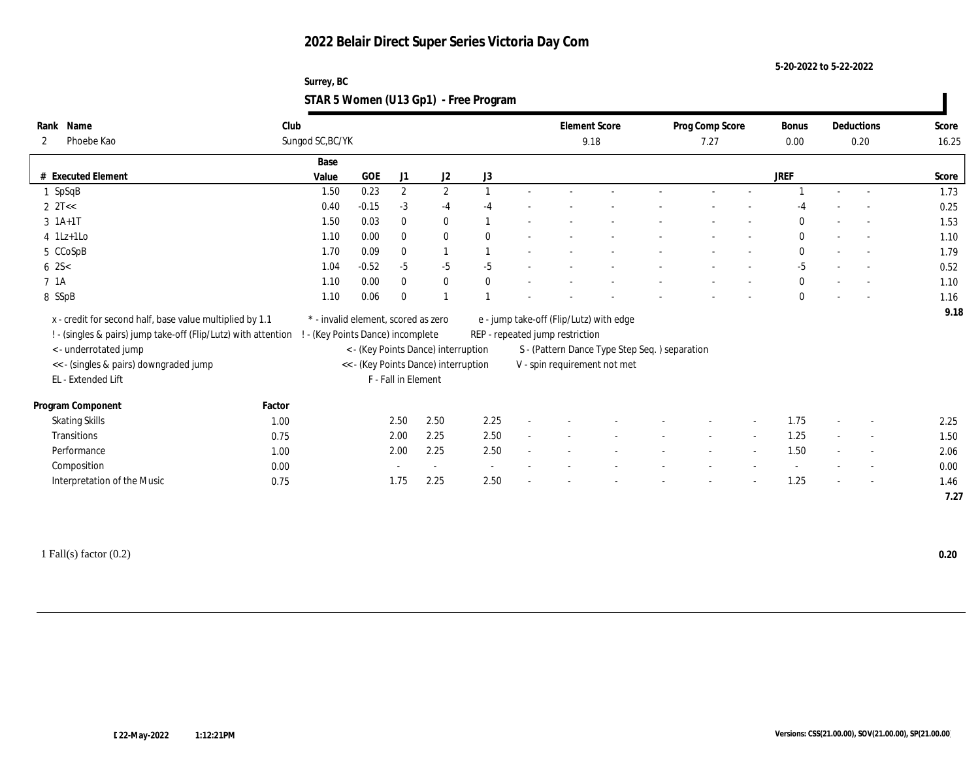**5-20-2022 to 5-22-2022**

#### **Surrey, BC STAR 5 Women (U13 Gp1) - Free Program**

| Name<br>Rank                                                   | Club             |                                     |                     |              |                                      |                                 |  |      | <b>Element Score</b>                           | Prog Comp Score |        | Bonus        | Deductions               | Score |
|----------------------------------------------------------------|------------------|-------------------------------------|---------------------|--------------|--------------------------------------|---------------------------------|--|------|------------------------------------------------|-----------------|--------|--------------|--------------------------|-------|
| Phoebe Kao<br>2                                                | Sungod SC, BC/YK |                                     |                     |              |                                      |                                 |  | 9.18 |                                                | 7.27            |        | 0.00         | 0.20                     | 16.25 |
|                                                                |                  | Base                                |                     |              |                                      |                                 |  |      |                                                |                 |        |              |                          |       |
| # Executed Element                                             |                  | Value                               | <b>GOE</b>          | J1           | $\mathrm{J}2$                        | J3                              |  |      |                                                |                 |        | <b>JREF</b>  |                          | Score |
| 1 SpSqB                                                        |                  | 1.50                                | 0.23                | $\mathbf{2}$ | $\mathbf{2}$                         |                                 |  |      |                                                |                 |        |              | $\overline{\phantom{a}}$ | 1.73  |
| $2 \text{ } 2T <<$                                             |                  | 0.40                                | $-0.15$             | $-3$         | $-4$                                 |                                 |  |      |                                                |                 |        |              |                          | 0.25  |
| $3 \; 1A+1T$                                                   |                  | 1.50                                | 0.03                | $\bf{0}$     | $\bf{0}$                             |                                 |  |      |                                                |                 |        | $\Omega$     |                          | 1.53  |
| $4$ 1Lz+1Lo                                                    |                  | 1.10                                | 0.00                | $\mathbf{0}$ | $\bf{0}$                             | $\theta$                        |  |      |                                                |                 |        | $\mathbf{0}$ | $\sim$                   | 1.10  |
| 5 CCoSpB                                                       |                  | 1.70                                | 0.09                | $\mathbf{0}$ | $\overline{1}$                       |                                 |  |      |                                                |                 |        | $\Omega$     | $\sim$                   | 1.79  |
| $6 \, 2S <$                                                    |                  | 1.04                                | $-0.52$             | $-5$         | $-5$                                 | $-5$                            |  |      |                                                |                 |        | $-5$         |                          | 0.52  |
| 7 1A                                                           |                  | 1.10                                | 0.00                | $\mathbf{0}$ | $\bf{0}$                             | $\mathbf{0}$                    |  |      |                                                |                 |        | $\mathbf{0}$ |                          | 1.10  |
| 8 SSpB                                                         |                  | 1.10                                | 0.06                | $\mathbf{0}$ | $\overline{1}$                       |                                 |  |      |                                                |                 |        | $\mathbf{0}$ |                          | 1.16  |
| x - credit for second half, base value multiplied by 1.1       |                  | * - invalid element, scored as zero |                     |              |                                      |                                 |  |      | e - jump take-off (Flip/Lutz) with edge        |                 |        |              |                          | 9.18  |
| ! - (singles & pairs) jump take-off (Flip/Lutz) with attention |                  | ! - (Key Points Dance) incomplete   |                     |              |                                      | REP - repeated jump restriction |  |      |                                                |                 |        |              |                          |       |
| < - underrotated jump                                          |                  |                                     |                     |              | < - (Key Points Dance) interruption  |                                 |  |      | S - (Pattern Dance Type Step Seq. ) separation |                 |        |              |                          |       |
| << - (singles & pairs) downgraded jump                         |                  |                                     |                     |              | << - (Key Points Dance) interruption |                                 |  |      | V - spin requirement not met                   |                 |        |              |                          |       |
| EL - Extended Lift                                             |                  |                                     | F - Fall in Element |              |                                      |                                 |  |      |                                                |                 |        |              |                          |       |
|                                                                |                  |                                     |                     |              |                                      |                                 |  |      |                                                |                 |        |              |                          |       |
| Program Component                                              | Factor           |                                     |                     |              |                                      |                                 |  |      |                                                |                 |        |              |                          |       |
| <b>Skating Skills</b>                                          | 1.00             |                                     | 2.50                |              | 2.50                                 | 2.25                            |  |      |                                                |                 |        | 1.75         |                          | 2.25  |
| Transitions                                                    | 0.75             |                                     | 2.00                |              | 2.25                                 | 2.50                            |  |      |                                                |                 | $\sim$ | 1.25         | $\overline{\phantom{a}}$ | 1.50  |
| Performance                                                    | 1.00             |                                     | 2.00                |              | 2.25                                 | 2.50                            |  |      |                                                |                 |        | 1.50         |                          | 2.06  |
| Composition                                                    | 0.00             |                                     |                     |              | $\sim$                               |                                 |  |      |                                                |                 |        |              | $\overline{\phantom{a}}$ | 0.00  |
| Interpretation of the Music                                    | 0.75             |                                     |                     | 1.75         | 2.25                                 | 2.50                            |  |      |                                                |                 |        | 1.25         | $\overline{\phantom{a}}$ | 1.46  |
|                                                                |                  |                                     |                     |              |                                      |                                 |  |      |                                                |                 |        |              |                          | 7.27  |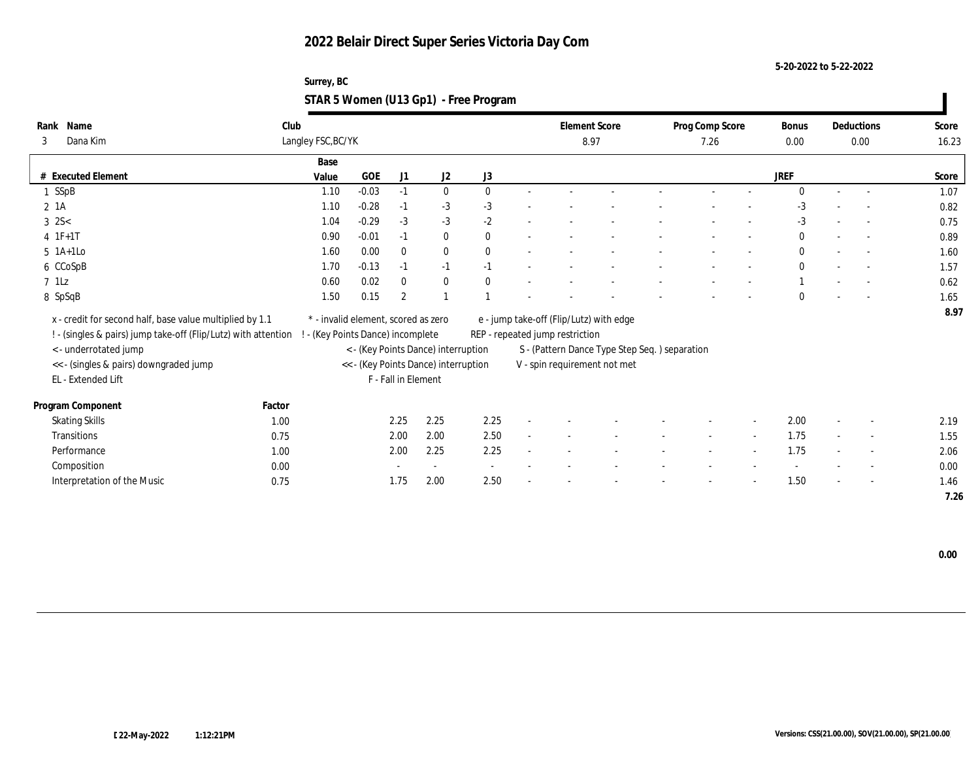**5-20-2022 to 5-22-2022**

| Surrey, BC                            |  |
|---------------------------------------|--|
| STAR 5 Women (U13 Gp1) - Free Program |  |

| Name<br>Rank                                                                                     | Club   |                                     |            |                     |                                      |              |        |                                 | <b>Element Score</b>                          | Prog Comp Score |                          | <b>Bonus</b> |        | Deductions               | Score |
|--------------------------------------------------------------------------------------------------|--------|-------------------------------------|------------|---------------------|--------------------------------------|--------------|--------|---------------------------------|-----------------------------------------------|-----------------|--------------------------|--------------|--------|--------------------------|-------|
| Dana Kim<br>3                                                                                    |        | Langley FSC, BC/YK                  |            |                     |                                      |              |        |                                 | 8.97                                          | 7.26            |                          | $0.00\,$     |        | 0.00                     | 16.23 |
|                                                                                                  |        | Base                                |            |                     |                                      |              |        |                                 |                                               |                 |                          |              |        |                          |       |
| <b>Executed Element</b><br>#                                                                     |        | Value                               | <b>GOE</b> | J1                  | J <sub>2</sub>                       | J3           |        |                                 |                                               |                 |                          | <b>JREF</b>  |        |                          | Score |
| 1 SSpB                                                                                           |        | 1.10                                | $-0.03$    | $-1$                | $\bf{0}$                             | $\mathbf{0}$ |        |                                 |                                               |                 |                          | $\Omega$     | $\sim$ | $\overline{\phantom{a}}$ | 1.07  |
| 2 1A                                                                                             |        | 1.10                                | $-0.28$    | $-1$                | $-3$                                 | $-3$         |        |                                 |                                               |                 |                          | $-3$         |        |                          | 0.82  |
| $3 \, 2S <$                                                                                      |        | 1.04                                | $-0.29$    | $-3$                | $-3$                                 | $-2$         |        |                                 |                                               |                 |                          | $-3$         |        | $\sim$                   | 0.75  |
| $4 \t1F+1T$                                                                                      |        | 0.90                                | $-0.01$    | $-1$                | $\bf{0}$                             | $\theta$     |        |                                 |                                               |                 |                          | $\bf{0}$     |        | $\sim$                   | 0.89  |
| $5$ 1A+1Lo                                                                                       |        | 1.60                                | 0.00       | $\mathbf{0}$        | $\bf{0}$                             | $\mathbf{0}$ |        |                                 |                                               |                 |                          | $\bf{0}$     |        | $\sim$                   | 1.60  |
| 6 CCoSpB                                                                                         |        | 1.70                                | $-0.13$    | $-1$                | $-1$                                 | $-1$         |        |                                 |                                               |                 |                          | $\mathbf{0}$ |        |                          | 1.57  |
| $7$ 1Lz                                                                                          |        | 0.60                                | 0.02       | $\bf{0}$            | $\bf{0}$                             | $\mathbf{0}$ |        |                                 |                                               |                 |                          |              |        | $\overline{\phantom{a}}$ | 0.62  |
| 8 SpSqB                                                                                          |        | 1.50                                | 0.15       | $\overline{2}$      | $\blacksquare$                       |              |        |                                 |                                               |                 |                          | $\Omega$     |        |                          | 1.65  |
| x - credit for second half, base value multiplied by 1.1                                         |        | * - invalid element, scored as zero |            |                     |                                      |              |        |                                 | e - jump take-off (Flip/Lutz) with edge       |                 |                          |              |        |                          | 8.97  |
| ! - (singles & pairs) jump take-off (Flip/Lutz) with attention ! - (Key Points Dance) incomplete |        |                                     |            |                     |                                      |              |        | REP - repeated jump restriction |                                               |                 |                          |              |        |                          |       |
| <- underrotated jump                                                                             |        |                                     |            |                     | < - (Key Points Dance) interruption  |              |        |                                 | S - (Pattern Dance Type Step Seq.) separation |                 |                          |              |        |                          |       |
| << - (singles & pairs) downgraded jump                                                           |        |                                     |            |                     | << - (Key Points Dance) interruption |              |        |                                 | V - spin requirement not met                  |                 |                          |              |        |                          |       |
| EL - Extended Lift                                                                               |        |                                     |            | F - Fall in Element |                                      |              |        |                                 |                                               |                 |                          |              |        |                          |       |
|                                                                                                  |        |                                     |            |                     |                                      |              |        |                                 |                                               |                 |                          |              |        |                          |       |
| Program Component                                                                                | Factor |                                     |            |                     |                                      |              |        |                                 |                                               |                 |                          |              |        |                          |       |
| <b>Skating Skills</b>                                                                            | 1.00   |                                     |            | 2.25                | 2.25                                 | 2.25         |        |                                 |                                               |                 | $\overline{\phantom{a}}$ | 2.00         |        | $\sim$                   | 2.19  |
| <b>Transitions</b>                                                                               | 0.75   |                                     |            | 2.00                | 2.00                                 | 2.50         | $\sim$ |                                 |                                               | $\sim$          | $\sim$                   | 1.75         | $\sim$ | $\overline{\phantom{a}}$ | 1.55  |
| Performance                                                                                      | 1.00   |                                     |            | 2.00                | 2.25                                 | 2.25         |        |                                 |                                               |                 | $\overline{\phantom{a}}$ | 1.75         |        | $\overline{\phantom{a}}$ | 2.06  |
| Composition                                                                                      | 0.00   |                                     |            |                     | $\sim$                               | $\sim$       |        |                                 |                                               |                 |                          |              |        | $\overline{\phantom{a}}$ | 0.00  |
| Interpretation of the Music                                                                      | 0.75   |                                     |            | 1.75                | 2.00                                 | 2.50         |        |                                 |                                               |                 |                          | 1.50         |        | $\overline{\phantom{a}}$ | 1.46  |
|                                                                                                  |        |                                     |            |                     |                                      |              |        |                                 |                                               |                 |                          |              |        |                          | 7.26  |

 **0.00**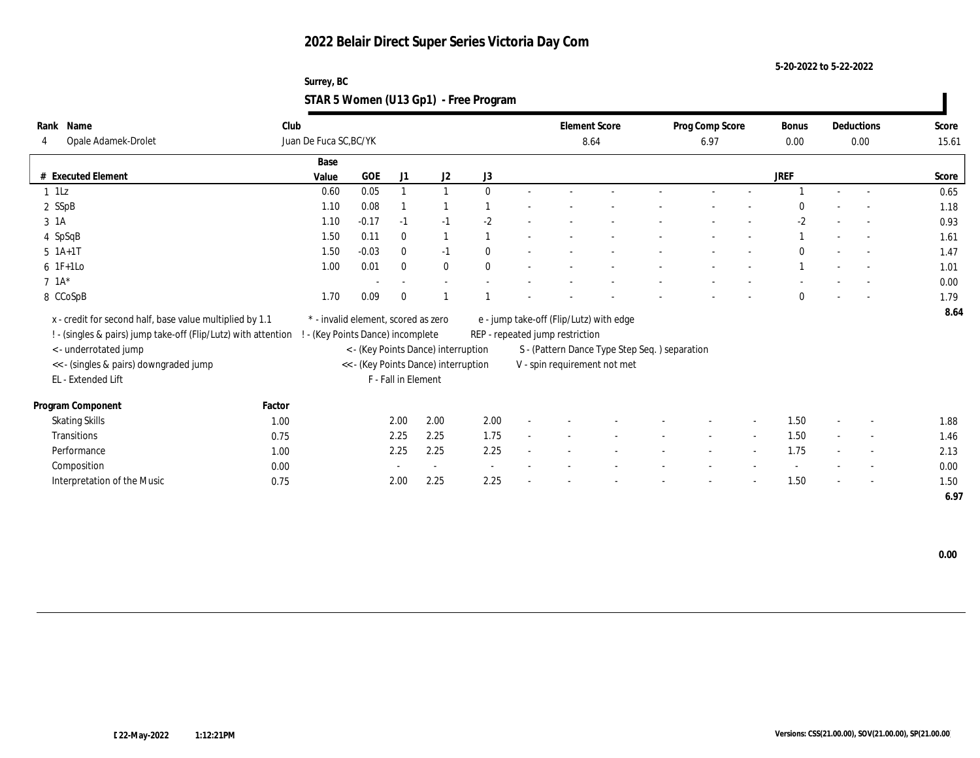**5-20-2022 to 5-22-2022**

### **Surrey, BC STAR 5 Women (U13 Gp1) - Free Program**

| Rank Name                                                      | Club                              |                                     |                          |                                      |              |                                 | <b>Element Score</b>                          | Prog Comp Score |        | <b>Bonus</b> |        | Deductions               | Score |
|----------------------------------------------------------------|-----------------------------------|-------------------------------------|--------------------------|--------------------------------------|--------------|---------------------------------|-----------------------------------------------|-----------------|--------|--------------|--------|--------------------------|-------|
| Opale Adamek-Drolet<br>4                                       | Juan De Fuca SC, BC/YK            |                                     |                          |                                      |              |                                 | 8.64                                          | 6.97            |        | 0.00         |        | 0.00                     | 15.61 |
|                                                                | Base                              |                                     |                          |                                      |              |                                 |                                               |                 |        |              |        |                          |       |
| # Executed Element                                             | Value                             | <b>GOE</b>                          | J1                       | J <sub>2</sub>                       | J3           |                                 |                                               |                 |        | JREF         |        |                          | Score |
| $1$ 1Lz                                                        | 0.60                              | 0.05                                |                          |                                      | $\mathbf{0}$ |                                 |                                               |                 |        |              |        |                          | 0.65  |
| 2 SSpB                                                         | 1.10                              | 0.08                                |                          |                                      |              |                                 |                                               |                 |        | 0            |        |                          | 1.18  |
| 3 1A                                                           | 1.10                              | $-0.17$                             | $-1$                     | $-1$                                 | $-2$         |                                 |                                               |                 |        | $-2$         |        |                          | 0.93  |
| 4 SpSqB                                                        | 1.50                              | 0.11                                | $\mathbf{0}$             |                                      |              |                                 |                                               |                 |        |              |        | $\overline{\phantom{a}}$ | 1.61  |
| $5 \; 1A+1T$                                                   | 1.50                              | $-0.03$                             | $\mathbf{0}$             | $-1$                                 | $\mathbf{0}$ |                                 |                                               |                 |        | 0            |        | $\sim$                   | 1.47  |
| $6$ 1F+1Lo                                                     | 1.00                              | 0.01                                | $\bf{0}$                 | $\bf{0}$                             | $\mathbf{0}$ |                                 |                                               |                 |        |              |        |                          | 1.01  |
| $7.1A*$                                                        |                                   |                                     | $\overline{\phantom{a}}$ | $\sim$                               |              |                                 |                                               |                 |        |              |        |                          | 0.00  |
| 8 CCoSpB                                                       | 1.70                              | 0.09                                | $\theta$                 |                                      |              |                                 |                                               |                 |        | $\mathbf{0}$ |        |                          | 1.79  |
| x - credit for second half, base value multiplied by 1.1       |                                   | * - invalid element, scored as zero |                          |                                      |              |                                 | e - jump take-off (Flip/Lutz) with edge       |                 |        |              |        |                          | 8.64  |
| ! - (singles & pairs) jump take-off (Flip/Lutz) with attention | ! - (Key Points Dance) incomplete |                                     |                          |                                      |              | REP - repeated jump restriction |                                               |                 |        |              |        |                          |       |
| <- underrotated jump                                           |                                   |                                     |                          | < - (Key Points Dance) interruption  |              |                                 | S - (Pattern Dance Type Step Seq.) separation |                 |        |              |        |                          |       |
| << - (singles & pairs) downgraded jump                         |                                   |                                     |                          | << - (Key Points Dance) interruption |              |                                 | V - spin requirement not met                  |                 |        |              |        |                          |       |
| EL - Extended Lift                                             |                                   |                                     | F - Fall in Element      |                                      |              |                                 |                                               |                 |        |              |        |                          |       |
|                                                                |                                   |                                     |                          |                                      |              |                                 |                                               |                 |        |              |        |                          |       |
| Program Component                                              | Factor                            |                                     |                          |                                      |              |                                 |                                               |                 |        |              |        |                          |       |
| <b>Skating Skills</b>                                          | 1.00                              |                                     | 2.00                     | 2.00                                 | 2.00         |                                 |                                               |                 |        | 1.50         |        | $\sim$                   | 1.88  |
| Transitions                                                    | 0.75                              |                                     | 2.25                     | 2.25                                 | 1.75         |                                 |                                               | $\sim$          | $\sim$ | 1.50         | $\sim$ | $\sim$                   | 1.46  |
| Performance                                                    | 1.00                              |                                     | 2.25                     | 2.25                                 | 2.25         |                                 |                                               |                 |        | 1.75         |        | $\sim$                   | 2.13  |
| Composition                                                    | 0.00                              |                                     |                          | $\sim$                               |              |                                 |                                               |                 |        |              |        |                          | 0.00  |
| Interpretation of the Music                                    | 0.75                              |                                     | 2.00                     | 2.25                                 | 2.25         |                                 |                                               |                 |        | 1.50         |        | $\sim$                   | 1.50  |
|                                                                |                                   |                                     |                          |                                      |              |                                 |                                               |                 |        |              |        |                          | 6.97  |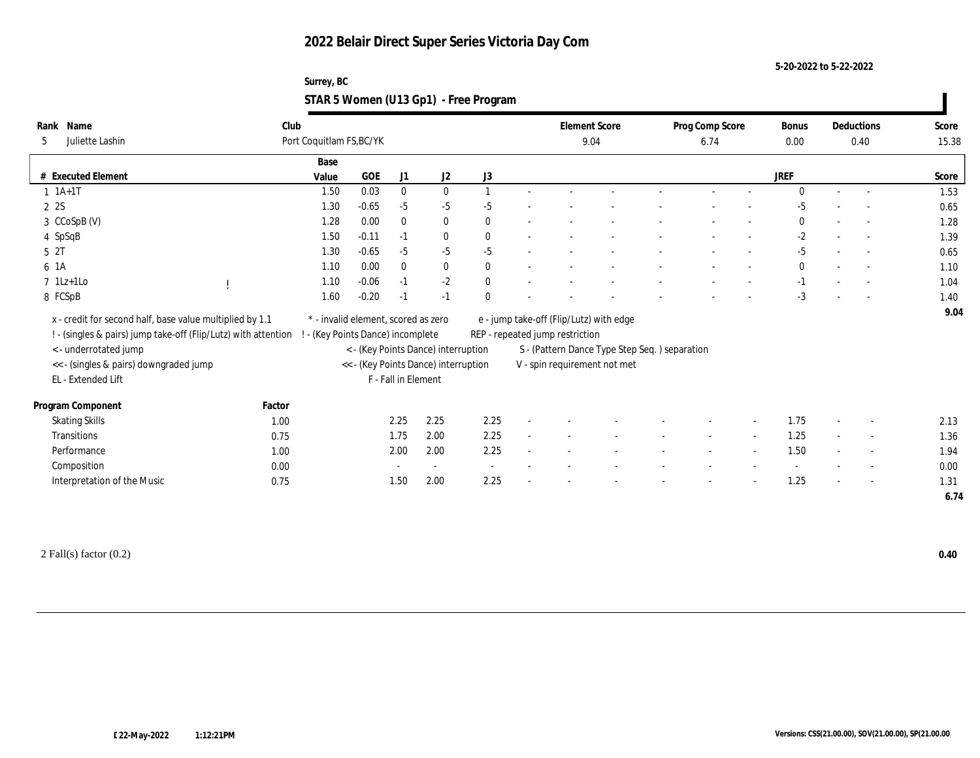**5-20-2022 to 5-22-2022**

#### **Surrey, BC STAR 5 Women (U13 Gp1) - Free Program**

| Rank | Name                                                           | Club   |                                     |            |                     |                                      |                  |                                 | <b>Element Score</b>                          | Prog Comp Score |        | Bonus        |                          | Deductions               | Score |
|------|----------------------------------------------------------------|--------|-------------------------------------|------------|---------------------|--------------------------------------|------------------|---------------------------------|-----------------------------------------------|-----------------|--------|--------------|--------------------------|--------------------------|-------|
| 5    | Juliette Lashin                                                |        | Port Coquitlam FS, BC/YK            |            |                     |                                      |                  |                                 | 9.04                                          | 6.74            |        | 0.00         |                          | 0.40                     | 15.38 |
|      |                                                                |        | Base                                |            |                     |                                      |                  |                                 |                                               |                 |        |              |                          |                          |       |
|      | # Executed Element                                             |        | Value                               | <b>GOE</b> | J1                  | J2                                   | $_{\mathrm{J}3}$ |                                 |                                               |                 |        | <b>JREF</b>  |                          |                          | Score |
|      | $1 1A+1T$                                                      |        | 1.50                                | 0.03       | $\mathbf{0}$        | $\bf{0}$                             | $\overline{1}$   |                                 |                                               |                 |        | $\theta$     |                          |                          | 1.53  |
|      | 2 2S                                                           |        | 1.30                                | $-0.65$    | $-5$                | $-5$                                 | $-5$             |                                 |                                               |                 |        | $-5$         |                          |                          | 0.65  |
|      | 3 CCoSpB (V)                                                   |        | 1.28                                | 0.00       | $\bf{0}$            | $\bf{0}$                             | $\mathbf{0}$     |                                 |                                               |                 |        | $\mathbf{0}$ |                          |                          | 1.28  |
|      | 4 SpSqB                                                        |        | 1.50                                | $-0.11$    | $-1$                | $\bf{0}$                             | $\theta$         |                                 |                                               |                 |        | $-2$         |                          |                          | 1.39  |
|      | 5 2T                                                           |        | 1.30                                | $-0.65$    | $-5$                | $-5$                                 | $-5$             |                                 |                                               |                 |        | $-5$         |                          | $\sim$                   | 0.65  |
|      | 6 1A                                                           |        | 1.10                                | 0.00       | $\mathbf{0}$        | $\mathbf{0}$                         | $\theta$         |                                 |                                               |                 |        | $\mathbf{0}$ |                          | $\overline{a}$           | 1.10  |
|      | $7$ 1Lz+1Lo                                                    |        | 1.10                                | $-0.06$    | $-1$                | $-2$                                 | $\mathbf{0}$     |                                 |                                               |                 |        | $-1$         |                          |                          | 1.04  |
|      | 8 FCSpB                                                        |        | 1.60                                | $-0.20$    | $-1$                | $-1$                                 | $\theta$         |                                 |                                               |                 |        | $-3$         |                          |                          | 1.40  |
|      | x - credit for second half, base value multiplied by 1.1       |        | * - invalid element, scored as zero |            |                     |                                      |                  |                                 | e - jump take-off (Flip/Lutz) with edge       |                 |        |              |                          |                          | 9.04  |
|      | ! - (singles & pairs) jump take-off (Flip/Lutz) with attention |        | - (Key Points Dance) incomplete     |            |                     |                                      |                  | REP - repeated jump restriction |                                               |                 |        |              |                          |                          |       |
|      | < - underrotated jump                                          |        |                                     |            |                     | < - (Key Points Dance) interruption  |                  |                                 | S - (Pattern Dance Type Step Seq.) separation |                 |        |              |                          |                          |       |
|      | << - (singles & pairs) downgraded jump                         |        |                                     |            |                     | << - (Key Points Dance) interruption |                  |                                 | V - spin requirement not met                  |                 |        |              |                          |                          |       |
|      | EL - Extended Lift                                             |        |                                     |            | F - Fall in Element |                                      |                  |                                 |                                               |                 |        |              |                          |                          |       |
|      |                                                                |        |                                     |            |                     |                                      |                  |                                 |                                               |                 |        |              |                          |                          |       |
|      | Program Component                                              | Factor |                                     |            |                     |                                      |                  |                                 |                                               |                 |        |              |                          |                          |       |
|      | <b>Skating Skills</b>                                          | 1.00   |                                     |            | 2.25                | 2.25                                 | 2.25             |                                 |                                               |                 |        | 1.75         |                          | $\sim$                   | 2.13  |
|      | Transitions                                                    | 0.75   |                                     |            | 1.75                | 2.00                                 | 2.25             |                                 |                                               |                 | $\sim$ | 1.25         |                          | $\overline{\phantom{a}}$ | 1.36  |
|      | Performance                                                    | 1.00   |                                     |            | 2.00                | 2.00                                 | 2.25             |                                 |                                               |                 |        | 1.50         |                          | $\overline{\phantom{a}}$ | 1.94  |
|      | Composition                                                    | 0.00   |                                     |            |                     | $\sim$                               | $\sim$           |                                 |                                               |                 |        |              |                          | $\overline{\phantom{a}}$ | 0.00  |
|      | Interpretation of the Music                                    | 0.75   |                                     |            | 1.50                | 2.00                                 | 2.25             |                                 |                                               |                 |        | 1.25         | $\overline{\phantom{a}}$ | $\sim$                   | 1.31  |
|      |                                                                |        |                                     |            |                     |                                      |                  |                                 |                                               |                 |        |              |                          |                          | 6.74  |

2 Fall(s) factor (0.2) **0.40**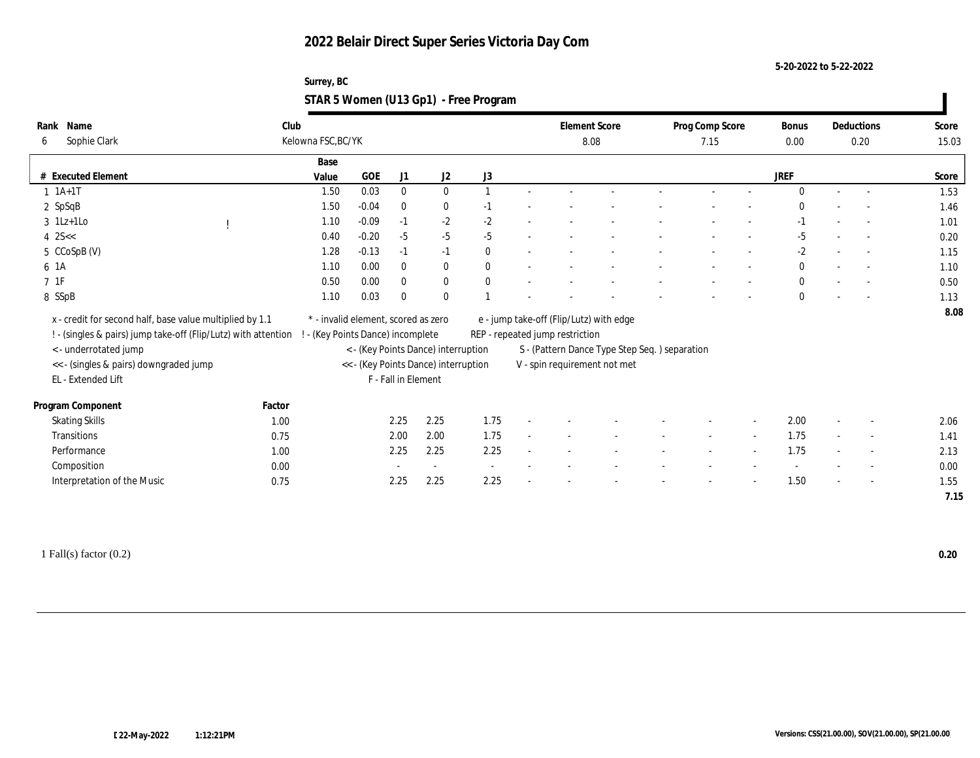**5-20-2022 to 5-22-2022**

#### **Surrey, BC STAR 5 Women (U13 Gp1) - Free Program**

| Rank | Name                                                           | Club                              |                                     |              |                                      |                          |                                 | <b>Element Score</b>                           | Prog Comp Score |        | Bonus        | Deductions               | Score |
|------|----------------------------------------------------------------|-----------------------------------|-------------------------------------|--------------|--------------------------------------|--------------------------|---------------------------------|------------------------------------------------|-----------------|--------|--------------|--------------------------|-------|
| 6    | Sophie Clark                                                   | Kelowna FSC, BC/YK                |                                     |              |                                      |                          |                                 | 8.08                                           | 7.15            |        | 0.00         | 0.20                     | 15.03 |
|      |                                                                | Base                              |                                     |              |                                      |                          |                                 |                                                |                 |        |              |                          |       |
|      | # Executed Element                                             | Value                             | <b>GOE</b>                          | J1           | $\mathrm{J}2$                        | J3                       |                                 |                                                |                 |        | <b>JREF</b>  |                          | Score |
|      | $1 1A+1T$                                                      | 1.50                              | 0.03                                | $\bf{0}$     | $\bf{0}$                             |                          |                                 |                                                |                 |        | $\Omega$     |                          | 1.53  |
|      | 2 SpSqB                                                        | 1.50                              | $-0.04$                             | $\bf{0}$     | $\bf{0}$                             | $-1$                     |                                 |                                                |                 |        | $\Omega$     |                          | 1.46  |
|      | $3$ 1Lz+1Lo                                                    | 1.10                              | $-0.09$                             | $-1$         | $-2$                                 | $-2$                     |                                 |                                                |                 |        | $-1$         |                          | 1.01  |
|      | $4 \, 25 <$                                                    | 0.40                              | $-0.20$                             | $-5$         | $-5$                                 | $-5$                     |                                 |                                                |                 |        | $-5$         | $\overline{a}$           | 0.20  |
|      | 5 CCoSpB (V)                                                   | 1.28                              | $-0.13$                             | $-1$         | $-1$                                 | $\theta$                 |                                 |                                                |                 |        | $-2$         | $\sim$                   | 1.15  |
| 6 1A |                                                                | 1.10                              | 0.00                                | $\mathbf{0}$ | $\bf{0}$                             | $\theta$                 |                                 |                                                |                 |        | $\mathbf{0}$ |                          | 1.10  |
| 71F  |                                                                | 0.50                              | 0.00                                | $\mathbf{0}$ | $\bf{0}$                             | $\mathbf{0}$             |                                 |                                                |                 |        | $\mathbf{0}$ |                          | 0.50  |
|      | 8 SSpB                                                         | 1.10                              | 0.03                                | $\bf{0}$     | $\bf{0}$                             |                          |                                 |                                                |                 |        | $\mathbf{0}$ |                          | 1.13  |
|      | x - credit for second half, base value multiplied by 1.1       |                                   | * - invalid element, scored as zero |              |                                      |                          |                                 | e - jump take-off (Flip/Lutz) with edge        |                 |        |              |                          | 8.08  |
|      | ! - (singles & pairs) jump take-off (Flip/Lutz) with attention | ! - (Key Points Dance) incomplete |                                     |              |                                      |                          | REP - repeated jump restriction |                                                |                 |        |              |                          |       |
|      | <- underrotated jump                                           |                                   |                                     |              | < - (Key Points Dance) interruption  |                          |                                 | S - (Pattern Dance Type Step Seq. ) separation |                 |        |              |                          |       |
|      | << - (singles & pairs) downgraded jump                         |                                   |                                     |              | << - (Key Points Dance) interruption |                          |                                 | V - spin requirement not met                   |                 |        |              |                          |       |
|      | EL - Extended Lift                                             |                                   |                                     |              | F - Fall in Element                  |                          |                                 |                                                |                 |        |              |                          |       |
|      |                                                                |                                   |                                     |              |                                      |                          |                                 |                                                |                 |        |              |                          |       |
|      | Program Component                                              | Factor                            |                                     |              |                                      |                          |                                 |                                                |                 |        |              |                          |       |
|      | <b>Skating Skills</b>                                          | 1.00                              |                                     | 2.25         | 2.25                                 | 1.75                     |                                 |                                                |                 |        | 2.00         |                          | 2.06  |
|      | Transitions                                                    | 0.75                              |                                     | 2.00         | 2.00                                 | 1.75                     |                                 |                                                |                 | $\sim$ | 1.75         | $\sim$                   | 1.41  |
|      | Performance                                                    | 1.00                              |                                     | 2.25         | 2.25                                 | 2.25                     |                                 |                                                |                 |        | 1.75         |                          | 2.13  |
|      | Composition                                                    | 0.00                              |                                     |              | $\sim$                               | $\overline{\phantom{a}}$ |                                 |                                                |                 |        |              | $\sim$                   | 0.00  |
|      | Interpretation of the Music                                    | 0.75                              |                                     | 2.25         | 2.25                                 | 2.25                     |                                 |                                                |                 |        | 1.50         | $\overline{\phantom{a}}$ | 1.55  |
|      |                                                                |                                   |                                     |              |                                      |                          |                                 |                                                |                 |        |              |                          | 7.15  |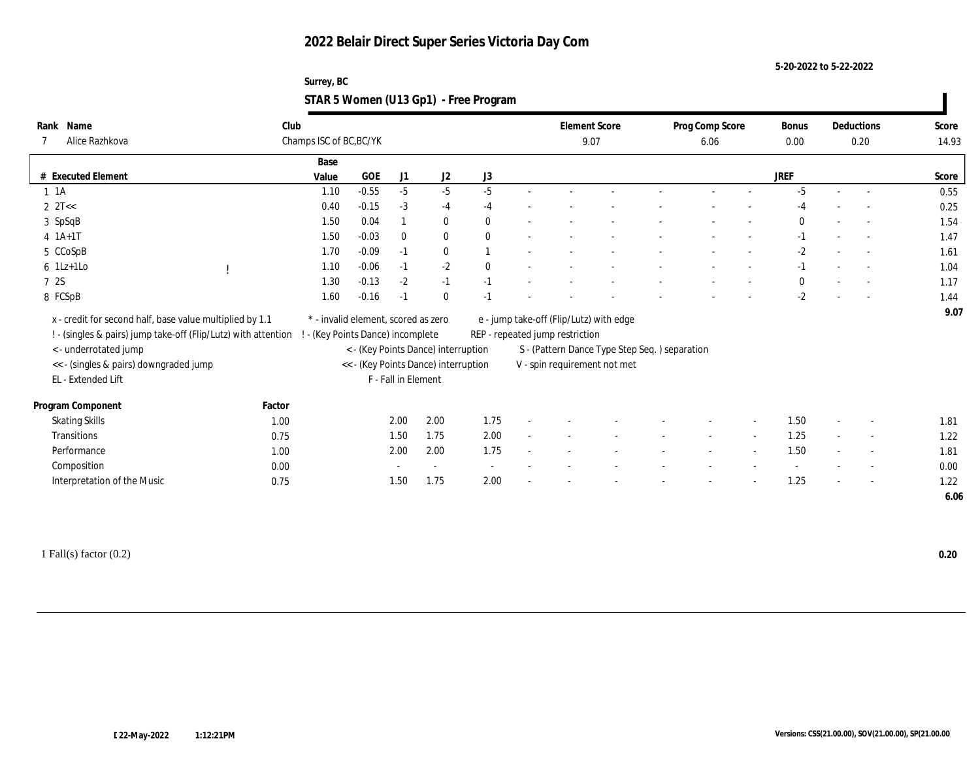**5-20-2022 to 5-22-2022**

#### **Surrey, BC STAR 5 Women (U13 Gp1) - Free Program**

| Name<br>Rank<br>Alice Razhkova                                 | Club   | Champs ISC of BC, BC/YK         |                                     |                     |                                      |              |                                 | <b>Element Score</b><br>9.07                   | Prog Comp Score<br>6.06 |        | Bonus<br>0.00 |        | Deductions<br>0.20       | Score<br>14.93 |
|----------------------------------------------------------------|--------|---------------------------------|-------------------------------------|---------------------|--------------------------------------|--------------|---------------------------------|------------------------------------------------|-------------------------|--------|---------------|--------|--------------------------|----------------|
|                                                                |        | Base                            |                                     |                     |                                      |              |                                 |                                                |                         |        |               |        |                          |                |
| # Executed Element                                             |        | Value                           | <b>GOE</b>                          | J1                  | J2                                   | J3           |                                 |                                                |                         |        | <b>JREF</b>   |        |                          | Score          |
| $1 \t1A$                                                       |        | 1.10                            | $-0.55$                             | $-5$                | $-5$                                 | $-5$         |                                 |                                                |                         |        | $-5$          | $\sim$ | $\sim$                   | 0.55           |
| $2 \text{ } 2T <<$                                             |        | 0.40                            | $-0.15$                             | $-3$                | $-4$                                 | $-4$         |                                 |                                                |                         |        | $-4$          |        |                          | 0.25           |
| 3 SpSqB                                                        |        | 1.50                            | 0.04                                |                     | $\bf{0}$                             | $\mathbf{0}$ |                                 |                                                |                         |        | $\Omega$      |        |                          | 1.54           |
| $4 1A+1T$                                                      |        | 1.50                            | $-0.03$                             | $\mathbf{0}$        | $\bf{0}$                             | $\theta$     |                                 |                                                |                         |        | $-1$          |        | $\sim$                   | 1.47           |
| 5 CCoSpB                                                       |        | 1.70                            | $-0.09$                             | $-1$                | $\bf{0}$                             |              |                                 |                                                |                         |        | $-2$          |        | $\sim$                   | 1.61           |
| $6$ 1Lz+1Lo                                                    |        | 1.10                            | $-0.06$                             | $-1$                | $-2$                                 | $\theta$     |                                 |                                                |                         |        | $-1$          |        | $\sim$                   | 1.04           |
| 7 2S                                                           |        | 1.30                            | $-0.13$                             | $-2$                | $-1$                                 | $-1$         |                                 |                                                |                         |        | $\mathbf{0}$  |        |                          | 1.17           |
| 8 FCSpB                                                        |        | 1.60                            | $-0.16$                             | $-1$                | $\bf{0}$                             | $-1$         |                                 |                                                |                         |        | $-2$          |        |                          | 1.44           |
| x - credit for second half, base value multiplied by 1.1       |        |                                 | * - invalid element, scored as zero |                     |                                      |              |                                 | e - jump take-off (Flip/Lutz) with edge        |                         |        |               |        |                          | 9.07           |
| ! - (singles & pairs) jump take-off (Flip/Lutz) with attention |        | - (Key Points Dance) incomplete |                                     |                     |                                      |              | REP - repeated jump restriction |                                                |                         |        |               |        |                          |                |
| < - underrotated jump                                          |        |                                 |                                     |                     | < - (Key Points Dance) interruption  |              |                                 | S - (Pattern Dance Type Step Seq. ) separation |                         |        |               |        |                          |                |
| << - (singles & pairs) downgraded jump<br>EL - Extended Lift   |        |                                 |                                     | F - Fall in Element | << - (Key Points Dance) interruption |              |                                 | V - spin requirement not met                   |                         |        |               |        |                          |                |
| Program Component                                              | Factor |                                 |                                     |                     |                                      |              |                                 |                                                |                         |        |               |        |                          |                |
| <b>Skating Skills</b>                                          | 1.00   |                                 |                                     | 2.00                | 2.00                                 | 1.75         |                                 |                                                |                         |        | 1.50          |        | $\overline{\phantom{a}}$ | 1.81           |
| Transitions                                                    | 0.75   |                                 |                                     | 1.50                | 1.75                                 | 2.00         |                                 |                                                | $\sim$                  | $\sim$ | 1.25          | $\sim$ | $\sim$                   | 1.22           |
| Performance                                                    | 1.00   |                                 |                                     | 2.00                | 2.00                                 | 1.75         |                                 |                                                |                         | $\sim$ | 1.50          |        | $\overline{\phantom{a}}$ | 1.81           |
| Composition                                                    | 0.00   |                                 |                                     |                     |                                      |              |                                 |                                                |                         |        |               |        | $\overline{\phantom{a}}$ | 0.00           |
| Interpretation of the Music                                    | 0.75   |                                 |                                     | 1.50                | 1.75                                 | 2.00         |                                 |                                                |                         |        | 1.25          |        | $\sim$                   | 1.22           |
|                                                                |        |                                 |                                     |                     |                                      |              |                                 |                                                |                         |        |               |        |                          | 6.06           |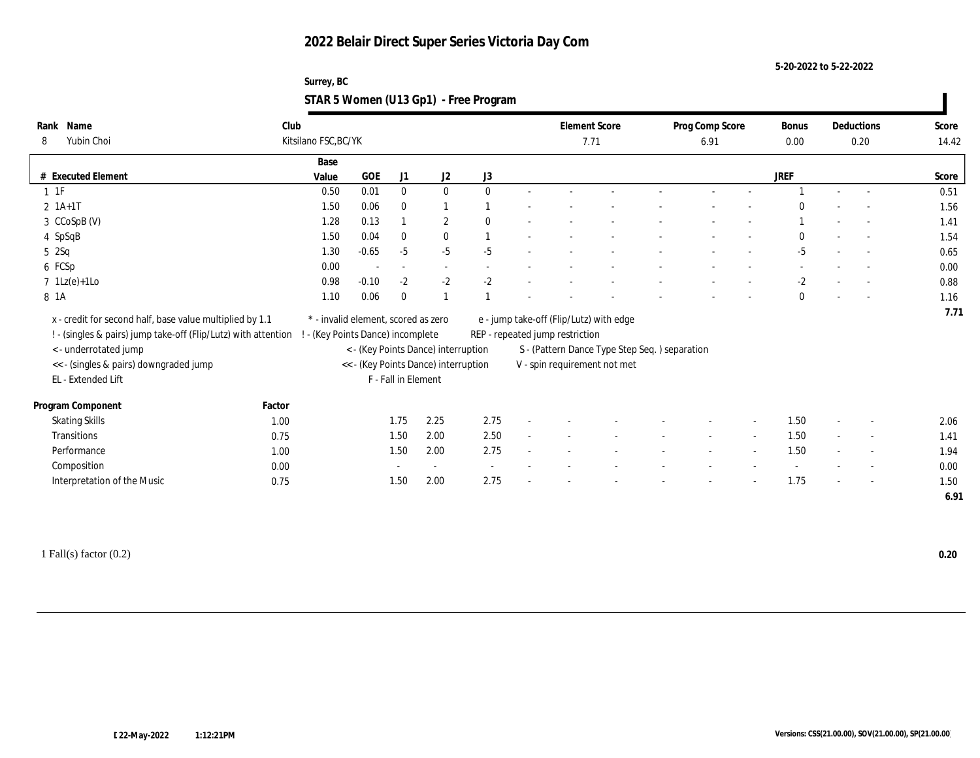**5-20-2022 to 5-22-2022**

#### **Surrey, BC STAR 5 Women (U13 Gp1) - Free Program**

| Rank Name                                                      | Club                 |                                     |                          |                                      |              |                                 | <b>Element Score</b>                           | Prog Comp Score |                          | <b>Bonus</b> |        | Deductions               | Score |
|----------------------------------------------------------------|----------------------|-------------------------------------|--------------------------|--------------------------------------|--------------|---------------------------------|------------------------------------------------|-----------------|--------------------------|--------------|--------|--------------------------|-------|
| Yubin Choi<br>8                                                | Kitsilano FSC, BC/YK |                                     |                          |                                      |              |                                 | 7.71                                           | 6.91            |                          | 0.00         |        | 0.20                     | 14.42 |
|                                                                | Base                 |                                     |                          |                                      |              |                                 |                                                |                 |                          |              |        |                          |       |
| # Executed Element                                             | Value                | GOE                                 | J1                       | J <sub>2</sub>                       | J3           |                                 |                                                |                 |                          | JREF         |        |                          | Score |
| $1 \t1F$                                                       | 0.50                 | 0.01                                | $\bf{0}$                 | $\bf{0}$                             | $\theta$     |                                 |                                                |                 |                          |              |        |                          | 0.51  |
| $2 \; 1A+1T$                                                   | 1.50                 | 0.06                                | $\bf{0}$                 | 1                                    |              |                                 |                                                |                 |                          | $\Omega$     |        |                          | 1.56  |
| 3 CCoSpB (V)                                                   | 1.28                 | 0.13                                |                          | $\mathbf{2}$                         | $\mathbf{0}$ |                                 |                                                |                 |                          |              |        |                          | 1.41  |
| 4 SpSqB                                                        | 1.50                 | 0.04                                | $\bf{0}$                 | $\bf{0}$                             |              |                                 |                                                |                 |                          | $\bf{0}$     |        | $\sim$                   | 1.54  |
| $5\quad2$ Sq                                                   | 1.30                 | $-0.65$                             | $-5$                     | $-5$                                 | $-5$         |                                 |                                                |                 |                          | -5           |        | $\sim$                   | 0.65  |
| 6 FCSp                                                         | 0.00                 |                                     | $\overline{\phantom{a}}$ | $\sim$                               |              |                                 |                                                |                 |                          |              |        |                          | 0.00  |
| $7 \text{ } 1\text{Lz}(e)+1\text{Lo}$                          | 0.98                 | $-0.10$                             | $-2$                     | $-2$                                 | $-2$         |                                 |                                                |                 |                          | $-2$         |        |                          | 0.88  |
| 8 1A                                                           | 1.10                 | 0.06                                | $\mathbf{0}$             |                                      |              |                                 |                                                |                 |                          | $\bf{0}$     |        |                          | 1.16  |
| x - credit for second half, base value multiplied by 1.1       |                      | * - invalid element, scored as zero |                          |                                      |              |                                 | e - jump take-off (Flip/Lutz) with edge        |                 |                          |              |        |                          | 7.71  |
| ! - (singles & pairs) jump take-off (Flip/Lutz) with attention |                      | - (Key Points Dance) incomplete     |                          |                                      |              | REP - repeated jump restriction |                                                |                 |                          |              |        |                          |       |
| < - underrotated jump                                          |                      |                                     |                          | < - (Key Points Dance) interruption  |              |                                 | S - (Pattern Dance Type Step Seq. ) separation |                 |                          |              |        |                          |       |
| << - (singles & pairs) downgraded jump                         |                      |                                     |                          | << - (Key Points Dance) interruption |              |                                 | V - spin requirement not met                   |                 |                          |              |        |                          |       |
| EL - Extended Lift                                             |                      |                                     | F - Fall in Element      |                                      |              |                                 |                                                |                 |                          |              |        |                          |       |
|                                                                |                      |                                     |                          |                                      |              |                                 |                                                |                 |                          |              |        |                          |       |
| Program Component                                              | Factor               |                                     |                          |                                      |              |                                 |                                                |                 |                          |              |        |                          |       |
| <b>Skating Skills</b>                                          | 1.00                 |                                     | 1.75                     | 2.25                                 | 2.75         |                                 |                                                |                 |                          | 1.50         |        | $\sim$                   | 2.06  |
| Transitions                                                    | 0.75                 |                                     | 1.50                     | 2.00                                 | 2.50         |                                 |                                                | $\sim$          | $\overline{\phantom{a}}$ | 1.50         | $\sim$ | $\sim$                   | 1.41  |
| Performance                                                    | 1.00                 |                                     | 1.50                     | 2.00                                 | 2.75         |                                 |                                                |                 |                          | 1.50         |        | $\sim$                   | 1.94  |
| Composition                                                    | 0.00                 |                                     |                          | $\sim$                               |              |                                 |                                                |                 |                          |              |        | $\overline{\phantom{a}}$ | 0.00  |
| Interpretation of the Music                                    | 0.75                 |                                     | 1.50                     | 2.00                                 | 2.75         |                                 |                                                |                 |                          | 1.75         |        | $\sim$                   | 1.50  |
|                                                                |                      |                                     |                          |                                      |              |                                 |                                                |                 |                          |              |        |                          | 6.91  |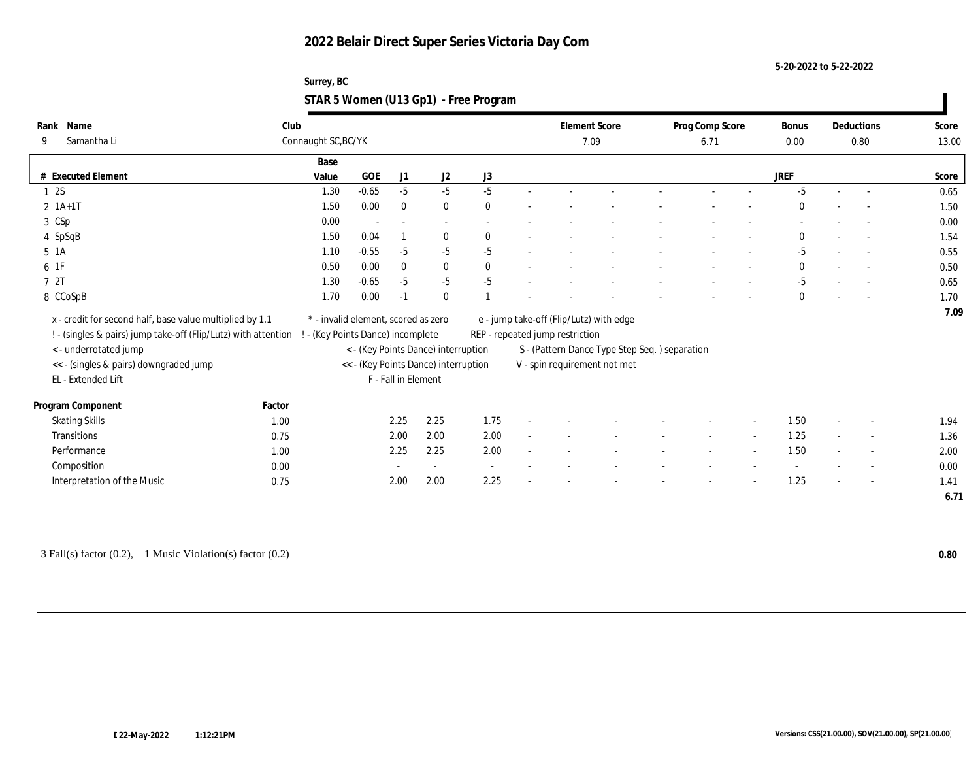**5-20-2022 to 5-22-2022**

#### **Surrey, BC STAR 5 Women (U13 Gp1) - Free Program**

| Rank Name                                                      | Club   |                                     |            |                          |                                      |          |                                 | <b>Element Score</b>                           | Prog Comp Score |                          | Bonus        |        | Deductions               | Score |
|----------------------------------------------------------------|--------|-------------------------------------|------------|--------------------------|--------------------------------------|----------|---------------------------------|------------------------------------------------|-----------------|--------------------------|--------------|--------|--------------------------|-------|
| Samantha Li<br>9                                               |        | Connaught SC, BC/YK                 |            |                          |                                      |          |                                 | 7.09                                           | 6.71            |                          | 0.00         |        | 0.80                     | 13.00 |
|                                                                |        | Base                                |            |                          |                                      |          |                                 |                                                |                 |                          |              |        |                          |       |
| # Executed Element                                             |        | Value                               | <b>GOE</b> | J1                       | J2                                   | J3       |                                 |                                                |                 |                          | <b>JREF</b>  |        |                          | Score |
| 12S                                                            |        | 1.30                                | $-0.65$    | $-5$                     | $-5$                                 | $-5$     |                                 |                                                |                 |                          | $-5$         | $\sim$ | $\sim$                   | 0.65  |
| $2 1A+1T$                                                      |        | 1.50                                | 0.00       | $\bf{0}$                 | $\bf{0}$                             | $\bf{0}$ |                                 |                                                |                 |                          | $\Omega$     |        | $\overline{\phantom{a}}$ | 1.50  |
| 3 CSp                                                          |        | 0.00                                |            | $\overline{\phantom{a}}$ | $\overline{\phantom{a}}$             |          |                                 |                                                |                 |                          |              |        |                          | 0.00  |
| 4 SpSqB                                                        |        | 1.50                                | 0.04       |                          | $\bf{0}$                             | $\theta$ |                                 |                                                |                 |                          | $\mathbf{0}$ |        | $\sim$                   | 1.54  |
| 5 1A                                                           |        | 1.10                                | $-0.55$    | $-5$                     | $-5$                                 | $-5$     |                                 |                                                |                 |                          | $-5$         |        | $\overline{\phantom{a}}$ | 0.55  |
| 6 1F                                                           |        | 0.50                                | 0.00       | $\bf{0}$                 | $\bf{0}$                             | $\theta$ |                                 |                                                |                 |                          | $\mathbf{0}$ |        | $\sim$                   | 0.50  |
| 7 2T                                                           |        | 1.30                                | $-0.65$    | $-5$                     | $-5$                                 | $-5$     |                                 |                                                |                 |                          | $-5$         |        |                          | 0.65  |
| 8 CCoSpB                                                       |        | 1.70                                | 0.00       | $-1$                     | $\bf{0}$                             |          |                                 |                                                |                 |                          | $\bf{0}$     |        |                          | 1.70  |
| x - credit for second half, base value multiplied by 1.1       |        | * - invalid element, scored as zero |            |                          |                                      |          |                                 | e - jump take-off (Flip/Lutz) with edge        |                 |                          |              |        |                          | 7.09  |
| ! - (singles & pairs) jump take-off (Flip/Lutz) with attention |        | - (Key Points Dance) incomplete     |            |                          |                                      |          | REP - repeated jump restriction |                                                |                 |                          |              |        |                          |       |
| < - underrotated jump                                          |        |                                     |            |                          | < - (Key Points Dance) interruption  |          |                                 | S - (Pattern Dance Type Step Seq. ) separation |                 |                          |              |        |                          |       |
| << - (singles & pairs) downgraded jump                         |        |                                     |            |                          | << - (Key Points Dance) interruption |          |                                 | V - spin requirement not met                   |                 |                          |              |        |                          |       |
| EL - Extended Lift                                             |        |                                     |            | F - Fall in Element      |                                      |          |                                 |                                                |                 |                          |              |        |                          |       |
|                                                                |        |                                     |            |                          |                                      |          |                                 |                                                |                 |                          |              |        |                          |       |
| Program Component                                              | Factor |                                     |            |                          |                                      |          |                                 |                                                |                 |                          |              |        |                          |       |
| <b>Skating Skills</b>                                          | 1.00   |                                     |            | 2.25                     | 2.25                                 | 1.75     |                                 |                                                |                 |                          | 1.50         |        | $\overline{\phantom{a}}$ | 1.94  |
| Transitions                                                    | 0.75   |                                     |            | 2.00                     | 2.00                                 | 2.00     |                                 |                                                | $\sim$          | $\overline{\phantom{a}}$ | 1.25         | $\sim$ | $\sim$                   | 1.36  |
| Performance                                                    | 1.00   |                                     |            | 2.25                     | 2.25                                 | 2.00     |                                 |                                                |                 |                          | 1.50         |        | $\overline{\phantom{a}}$ | 2.00  |
| Composition                                                    | 0.00   |                                     |            |                          | $\sim$                               |          |                                 |                                                |                 |                          |              |        |                          | 0.00  |
| Interpretation of the Music                                    | 0.75   |                                     |            | 2.00                     | 2.00                                 | 2.25     |                                 |                                                |                 |                          | 1.25         |        | $\sim$                   | 1.41  |
|                                                                |        |                                     |            |                          |                                      |          |                                 |                                                |                 |                          |              |        |                          | 6.71  |

3 Fall(s) factor (0.2), 1 Music Violation(s) factor (0.2) **0.80**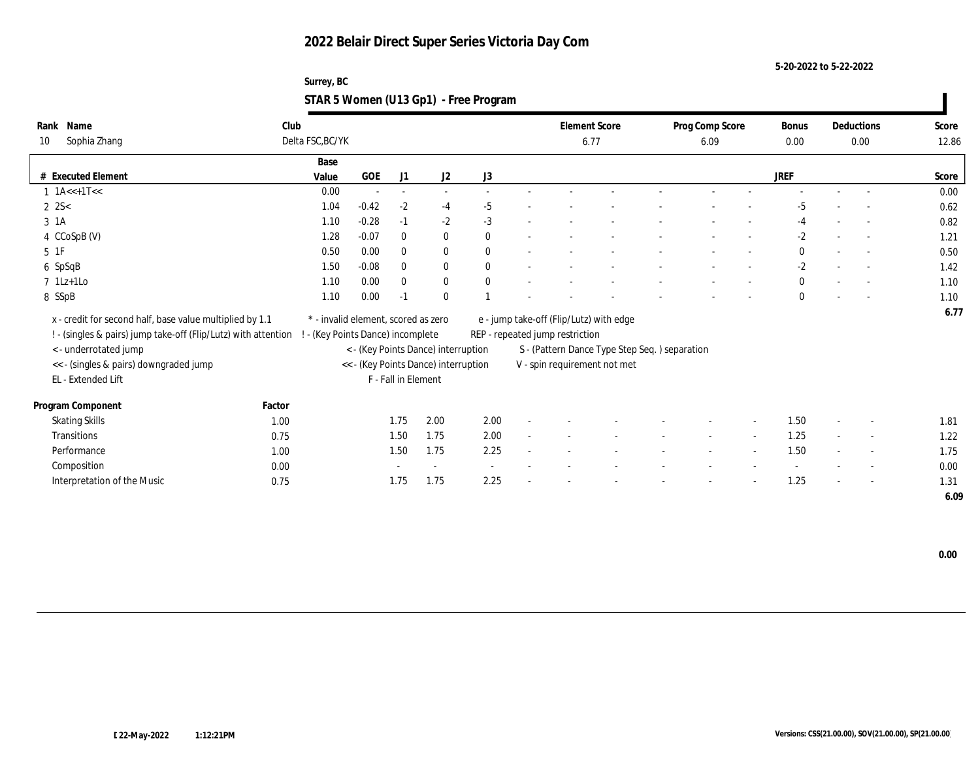**5-20-2022 to 5-22-2022**

| Surrey, BC                            |  |
|---------------------------------------|--|
| STAR 5 Women (U13 Gp1) - Free Program |  |

| Name<br>Rank                                                     | Club             |                                     |                          |                          |                                      |              |                                               | <b>Element Score</b> | Prog Comp Score |        | <b>Bonus</b> | Deductions               | Score |
|------------------------------------------------------------------|------------------|-------------------------------------|--------------------------|--------------------------|--------------------------------------|--------------|-----------------------------------------------|----------------------|-----------------|--------|--------------|--------------------------|-------|
| Sophia Zhang<br>10                                               | Delta FSC, BC/YK |                                     |                          |                          |                                      |              |                                               | 6.77                 | 6.09            |        | 0.00         | 0.00                     | 12.86 |
|                                                                  |                  | Base                                |                          |                          |                                      |              |                                               |                      |                 |        |              |                          |       |
| <b>Executed Element</b><br>#                                     |                  | Value                               | <b>GOE</b>               | J1                       | J2                                   | J3           |                                               |                      |                 |        | <b>JREF</b>  |                          | Score |
| $1 \text{ 1A} \ll + 1 \text{T} \ll$                              |                  | 0.00                                | $\overline{\phantom{a}}$ | $\overline{\phantom{a}}$ | $\sim$                               |              |                                               |                      |                 |        |              |                          | 0.00  |
| $2 \, 2S <$                                                      |                  | 1.04                                | $-0.42$                  | $-2$                     | $-4$                                 | $-5$         |                                               |                      |                 |        | $-5$         | $\overline{\phantom{a}}$ | 0.62  |
| 3 1A                                                             |                  | 1.10                                | $-0.28$                  | $-1$                     | $-2$                                 | $-3$         |                                               |                      |                 |        | -4           | $\overline{\phantom{a}}$ | 0.82  |
| 4 CCoSpB (V)                                                     |                  | 1.28                                | $-0.07$                  | $\mathbf{0}$             | $\bf{0}$                             | $\mathbf{0}$ |                                               |                      |                 |        | $-2$         | $\sim$                   | 1.21  |
| $5\;\;1\mathrm{F}$                                               |                  | 0.50                                | 0.00                     | $\bf{0}$                 | $\bf{0}$                             | $\theta$     |                                               |                      |                 |        | $\bf{0}$     | $\sim$                   | 0.50  |
| 6 SpSqB                                                          |                  | 1.50                                | $-0.08$                  | $\mathbf{0}$             | $\bf{0}$                             | $\theta$     |                                               |                      |                 |        | $-2$         | $\overline{\phantom{a}}$ | 1.42  |
| $7$ 1Lz+1Lo                                                      |                  | 1.10                                | 0.00                     | $\bf{0}$                 | $\bf{0}$                             | $\mathbf{0}$ |                                               |                      |                 |        | $\bf{0}$     | $\overline{\phantom{a}}$ | 1.10  |
| 8 SSpB                                                           |                  | 1.10                                | 0.00                     | $-1$                     | $\mathbf{0}$                         |              |                                               |                      |                 |        | $\mathbf{0}$ | $\overline{\phantom{a}}$ | 1.10  |
| x - credit for second half, base value multiplied by 1.1         |                  | * - invalid element, scored as zero |                          |                          |                                      |              | e - jump take-off (Flip/Lutz) with edge       |                      |                 |        |              |                          | 6.77  |
| ! - (singles & pairs) jump take-off (Flip/Lutz) with attention ! |                  | - (Key Points Dance) incomplete     |                          |                          |                                      |              | REP - repeated jump restriction               |                      |                 |        |              |                          |       |
| <- underrotated jump                                             |                  |                                     |                          |                          | < - (Key Points Dance) interruption  |              | S - (Pattern Dance Type Step Seq.) separation |                      |                 |        |              |                          |       |
| << - (singles & pairs) downgraded jump                           |                  |                                     |                          |                          | << - (Key Points Dance) interruption |              | V - spin requirement not met                  |                      |                 |        |              |                          |       |
| EL - Extended Lift                                               |                  |                                     | F - Fall in Element      |                          |                                      |              |                                               |                      |                 |        |              |                          |       |
| Program Component                                                | Factor           |                                     |                          |                          |                                      |              |                                               |                      |                 |        |              |                          |       |
| <b>Skating Skills</b>                                            | 1.00             |                                     |                          | 1.75                     | 2.00                                 | 2.00         |                                               |                      |                 |        | 1.50         | $\overline{\phantom{a}}$ | 1.81  |
| <b>Transitions</b>                                               | 0.75             |                                     |                          | 1.50                     | 1.75                                 | 2.00         |                                               |                      |                 | $\sim$ | 1.25         | $\overline{\phantom{a}}$ | 1.22  |
| Performance                                                      | 1.00             |                                     |                          | 1.50                     | 1.75                                 | 2.25         |                                               |                      |                 |        | 1.50         | $\overline{\phantom{a}}$ | 1.75  |
| Composition                                                      | 0.00             |                                     |                          |                          |                                      | $\sim$       |                                               |                      |                 |        |              | $\overline{\phantom{a}}$ | 0.00  |
|                                                                  |                  |                                     |                          | 1.75                     | 1.75                                 | 2.25         |                                               |                      |                 |        |              |                          |       |
| Interpretation of the Music                                      | 0.75             |                                     |                          |                          |                                      |              |                                               |                      |                 |        | 1.25         | $\overline{\phantom{a}}$ | 1.31  |
|                                                                  |                  |                                     |                          |                          |                                      |              |                                               |                      |                 |        |              |                          | 6.09  |